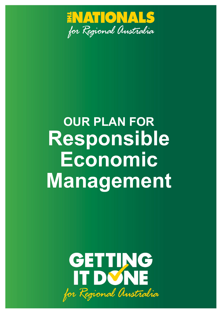

# **OUR PLAN FOR Responsible Economic Management**

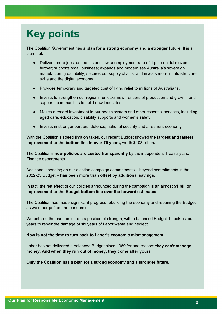# **Key points**

The Coalition Government has a **plan for a strong economy and a stronger future**. It is a plan that:

- Delivers more jobs, as the historic low unemployment rate of 4 per cent falls even further; supports small business; expands and modernises Australia's sovereign manufacturing capability; secures our supply chains; and invests more in infrastructure, skills and the digital economy.
- Provides temporary and targeted cost of living relief to millions of Australians.
- Invests to strengthen our regions, unlocks new frontiers of production and growth, and supports communities to build new industries.
- Makes a record investment in our health system and other essential services, including aged care, education, disability supports and women's safety.
- Invests in stronger borders, defence, national security and a resilient economy.

With the Coalition's speed limit on taxes, our recent Budget showed the **largest and fastest improvement to the bottom line in over 70 years,** worth \$103 billion**.**

The Coalition's **new policies are costed transparently** by the independent Treasury and Finance departments.

Additional spending on our election campaign commitments – beyond commitments in the 2022-23 Budget – **has been more than offset by additional savings.**

In fact, the net effect of our policies announced during the campaign is an almost **\$1 billion improvement to the Budget bottom line over the forward estimates**.

The Coalition has made significant progress rebuilding the economy and repairing the Budget as we emerge from the pandemic.

We entered the pandemic from a position of strength, with a balanced Budget. It took us six years to repair the damage of six years of Labor waste and neglect.

#### **Now is not the time to turn back to Labor's economic mismanagement.**

Labor has not delivered a balanced Budget since 1989 for one reason: **they can't manage money. And when they run out of money, they come after yours.**

**Only the Coalition has a plan for a strong economy and a stronger future.**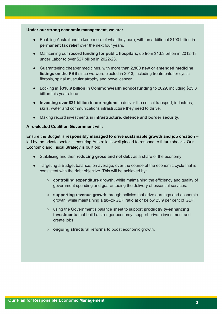#### **Under our strong economic management, we are:**

- Enabling Australians to keep more of what they earn, with an additional \$100 billion in **permanent tax relief** over the next four years.
- Maintaining our **record funding for public hospitals,** up from \$13.3 billion in 2012-13 under Labor to over \$27 billion in 2022-23.
- Guaranteeing cheaper medicines, with more than **2,900 new or amended medicine listings on the PBS** since we were elected in 2013, including treatments for cystic fibrosis, spinal muscular atrophy and bowel cancer.
- Locking in **\$318.9 billion in Commonwealth school funding** to 2029, including \$25.3 billion this year alone.
- **Investing over \$21 billion in our regions** to deliver the critical transport, industries, skills, water and communications infrastructure they need to thrive.
- Making record investments in **infrastructure, defence and border security**.

#### **A re-elected Coalition Government will:**

Ensure the Budget is **responsibly managed to drive sustainable growth and job creation** – led by the private sector – ensuring Australia is well placed to respond to future shocks. Our Economic and Fiscal Strategy is built on:

- Stabilising and then **reducing gross and net debt** as a share of the economy.
- Targeting a Budget balance, on average, over the course of the economic cycle that is consistent with the debt objective. This will be achieved by:
	- **controlling expenditure growth**, while maintaining the efficiency and quality of government spending and guaranteeing the delivery of essential services.
	- **supporting revenue growth** through policies that drive earnings and economic growth, while maintaining a tax-to-GDP ratio at or below 23.9 per cent of GDP.
	- using the Government's balance sheet to support **productivity-enhancing investments** that build a stronger economy, support private investment and create jobs.
	- **ongoing structural reforms** to boost economic growth.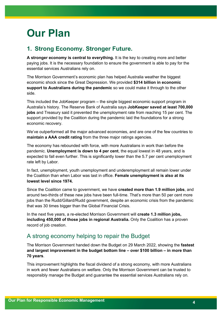# **Our Plan**

# **1. Strong Economy. Stronger Future.**

**A stronger economy is central to everything.** It is the key to creating more and better paying jobs. It is the necessary foundation to ensure the government is able to pay for the essential services Australians rely on.

The Morrison Government's economic plan has helped Australia weather the biggest economic shock since the Great Depression. We provided **\$314 billion in economic support to Australians during the pandemic** so we could make it through to the other side.

This included the JobKeeper program – the single biggest economic support program in Australia's history. The Reserve Bank of Australia says **JobKeeper saved at least 700,000 jobs** and Treasury said it prevented the unemployment rate from reaching 15 per cent. The support provided by the Coalition during the pandemic laid the foundations for a strong economic recovery.

We've outperformed all the major advanced economies, and are one of the few countries to **maintain a AAA credit rating** from the three major ratings agencies.

The economy has rebounded with force, with more Australians in work than before the pandemic. **Unemployment is down to 4 per cent**, the equal lowest in 48 years, and is expected to fall even further. This is significantly lower than the 5.7 per cent unemployment rate left by Labor.

In fact, unemployment, youth unemployment and underemployment all remain lower under the Coalition than when Labor was last in office. **Female unemployment is also at its lowest level since 1974.** 

Since the Coalition came to government, we have **created more than 1.9 million jobs**, and around two-thirds of these new jobs have been full-time. That's more than 50 per cent more jobs than the Rudd/Gillard/Rudd government, despite an economic crisis from the pandemic that was 30 times bigger than the Global Financial Crisis.

In the next five years, a re-elected Morrison Government will **create 1.3 million jobs, including 450,000 of those jobs in regional Australia.** Only the Coalition has a proven record of job creation.

### A strong economy helping to repair the Budget

The Morrison Government handed down the Budget on 29 March 2022, showing the **fastest and largest improvement in the budget bottom line – over \$100 billion – in more than 70 years**.

This improvement highlights the fiscal dividend of a strong economy, with more Australians in work and fewer Australians on welfare. Only the Morrison Government can be trusted to responsibly manage the Budget and guarantee the essential services Australians rely on.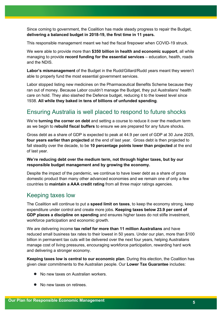Since coming to government, the Coalition has made steady progress to repair the Budget, **delivering a balanced budget in 2018-19, the first time in 11 years.**

This responsible management meant we had the fiscal firepower when COVID-19 struck.

We were able to provide more than **\$350 billion in health and economic support**, all while managing to provide **record funding for the essential services** – education, health, roads and the NDIS.

**Labor's mismanagement** of the Budget in the Rudd/Gillard/Rudd years meant they weren't able to properly fund the most essential government services.

Labor stopped listing new medicines on the Pharmaceutical Benefits Scheme because they ran out of money. Because Labor couldn't manage the Budget, they put Australians' health care on hold. They also slashed the Defence budget, reducing it to the lowest level since 1938. **All while they baked in tens of billions of unfunded spending**.

### Ensuring Australia is well placed to respond to future shocks

We're **turning the corner on debt** and setting a course to reduce it over the medium term as we begin to **rebuild fiscal buffers** to ensure we are prepared for any future shocks.

Gross debt as a share of GDP is expected to peak at 44.9 per cent of GDP at 30 June 2025, **four years earlier than projected** at the end of last year. Gross debt is then projected to fall steadily over the decade, to be **10 percentage points lower than projected** at the end of last year.

#### **We're reducing debt over the medium term, not through higher taxes, but by our responsible budget management and by growing the economy.**

Despite the impact of the pandemic, we continue to have lower debt as a share of gross domestic product than many other advanced economies and we remain one of only a few countries to **maintain a AAA credit rating** from all three major ratings agencies.

### Keeping taxes low

The Coalition will continue to put a **speed limit on taxes**, to keep the economy strong, keep expenditure under control and create more jobs. **Keeping taxes below 23.9 per cent of GDP places a discipline on spending** and ensures higher taxes do not stifle investment, workforce participation and economic growth.

We are delivering income **tax relief for more than 11 million Australians** and have reduced small business tax rates to their lowest in 50 years. Under our plan, more than \$100 billion in permanent tax cuts will be delivered over the next four years, helping Australians manage cost of living pressures, encouraging workforce participation, rewarding hard work and delivering a stronger economy.

**Keeping taxes low is central to our economic plan**. During this election, the Coalition has given clear commitments to the Australian people. Our **Lower Tax Guarantee** includes:

- No new taxes on Australian workers.
- No new taxes on retirees.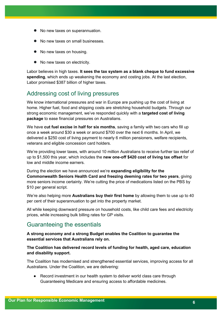- No new taxes on superannuation.
- **No new taxes on small businesses.**
- No new taxes on housing.
- No new taxes on electricity.

Labor believes in high taxes. **It sees the tax system as a blank cheque to fund excessive spending**, which ends up weakening the economy and costing jobs. At the last election, Labor promised \$387 billion of higher taxes.

### Addressing cost of living pressures

We know international pressures and war in Europe are pushing up the cost of living at home. Higher fuel, food and shipping costs are stretching household budgets. Through our strong economic management, we've responded quickly with a **targeted cost of living package** to ease financial pressures on Australians.

We have **cut fuel excise in half for six months**, saving a family with two cars who fill up once a week around \$30 a week or around \$700 over the next 6 months. In April, we delivered a \$250 cost of living payment to nearly 6 million pensioners, welfare recipients, veterans and eligible concession card holders.

We're providing lower taxes, with around 10 million Australians to receive further tax relief of up to \$1,500 this year, which includes the **new one-off \$420 cost of living tax offset** for low and middle income earners.

During the election we have announced we're **expanding eligibility for the Commonwealth Seniors Health Card and freezing deeming rates for two years**, giving more seniors income certainty. We're cutting the price of medications listed on the PBS by \$10 per general script.

We're also helping more **Australians buy their first home** by allowing them to use up to 40 per cent of their superannuation to get into the property market.

All while keeping downward pressure on household costs, like child care fees and electricity prices, while increasing bulk billing rates for GP visits.

### Guaranteeing the essentials

**A strong economy and a strong Budget enables the Coalition to guarantee the essential services that Australians rely on.** 

#### **The Coalition has delivered record levels of funding for health, aged care, education and disability support.**

The Coalition has modernised and strengthened essential services, improving access for all Australians. Under the Coalition, we are delivering:

● Record investment in our health system to deliver world class care through Guaranteeing Medicare and ensuring access to affordable medicines.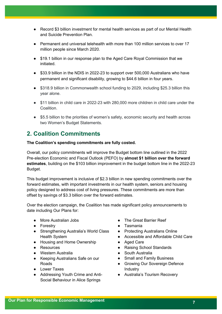- Record \$3 billion investment for mental health services as part of our Mental Health and Suicide Prevention Plan.
- Permanent and universal telehealth with more than 100 million services to over 17 million people since March 2020.
- \$19.1 billion in our response plan to the Aged Care Royal Commission that we initiated.
- \$33.9 billion in the NDIS in 2022-23 to support over 500,000 Australians who have permanent and significant disability, growing to \$44.6 billion in four years.
- \$318.9 billion in Commonwealth school funding to 2029, including \$25.3 billion this year alone.
- \$11 billion in child care in 2022-23 with 280,000 more children in child care under the **Coalition**
- \$5.5 billion to the priorities of women's safety, economic security and health across two Women's Budget Statements.

# **2. Coalition Commitments**

#### **The Coalition's spending commitments are fully costed.**

Overall, our policy commitments will improve the Budget bottom line outlined in the 2022 Pre‑election Economic and Fiscal Outlook (PEFO) by **almost \$1 billion over the forward estimates**, building on the \$103 billion improvement in the budget bottom line in the 2022-23 Budget.

This budget improvement is inclusive of \$2.3 billion in new spending commitments over the forward estimates, with important investments in our health system, seniors and housing policy designed to address cost of living pressures. These commitments are more than offset by savings of \$3.3 billion over the forward estimates.

Over the election campaign, the Coalition has made significant policy announcements to date including Our Plans for:

- More Australian Jobs
- Forestry
- Strengthening Australia's World Class Health System
- Housing and Home Ownership
- Resources
- Western Australia
- Keeping Australians Safe on our Roads
- Lower Taxes
- Addressing Youth Crime and Anti-Social Behaviour in Alice Springs
- The Great Barrier Reef
- Tasmania
- Protecting Australians Online
- Accessible and Affordable Child Care
- Aged Care
- Raising School Standards
- South Australia
- Small and Family Business
- Growing Our Sovereign Defence Industry
- Australia's Tourism Recovery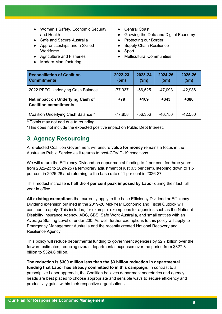- Women's Safety, Economic Security and Health
- Safe and Secure Australia
- Apprenticeships and a Skilled **Workforce**
- Agriculture and Fisheries
- Modern Manufacturing
- Central Coast
- Growing the Data and Digital Economy
- Protecting our Border
- Supply Chain Resilience
- Sport
- **Multicultural Communities**

| <b>Reconciliation of Coalition</b><br><b>Commitments</b>         | 2022-23<br>\$m\$ | 2023-24<br>\$m\$ | 2024-25<br>\$m\$ | 2025-26<br>\$m\$ |
|------------------------------------------------------------------|------------------|------------------|------------------|------------------|
| 2022 PEFO Underlying Cash Balance                                | $-77,937$        | $-56,525$        | $-47,093$        | $-42,936$        |
| Net impact on Underlying Cash of<br><b>Coalition commitments</b> | $+79$            | $+169$           | $+343$           | +386             |
| Coalition Underlying Cash Balance *                              | $-77,858$        | $-56,356$        | $-46,750$        | $-42,550$        |

^ Totals may not add due to rounding.

\*This does not include the expected positive impact on Public Debt Interest.

# **3. Agency Resourcing**

A re-elected Coalition Government will ensure **value for money** remains a focus in the Australian Public Service as it returns to post-COVID-19 conditions.

We will return the Efficiency Dividend on departmental funding to 2 per cent for three years from 2022-23 to 2024-25 (a temporary adjustment of just 0.5 per cent), stepping down to 1.5 per cent in 2025-26 and returning to the base rate of 1 per cent in 2026-27.

This modest increase is **half the 4 per cent peak imposed by Labor** during their last full year in office.

**All existing exemptions** that currently apply to the base Efficiency Dividend or Efficiency Dividend extension outlined in the 2019-20 Mid-Year Economic and Fiscal Outlook will continue to apply. This includes, for example, exemptions for agencies such as the National Disability Insurance Agency, ABC, SBS, Safe Work Australia, and small entities with an Average Staffing Level of under 200. As well, further exemptions to this policy will apply to Emergency Management Australia and the recently created National Recovery and Resilience Agency.

This policy will reduce departmental funding to government agencies by \$2.7 billion over the forward estimates, reducing overall departmental expenses over the period from \$327.3 billion to \$324.6 billion.

**The reduction is \$300 million less than the \$3 billion reduction in departmental funding that Labor has already committed to in this campaign**. In contrast to a prescriptive Labor approach, the Coalition believes department secretaries and agency heads are best placed to choose appropriate and sensible ways to secure efficiency and productivity gains within their respective organisations.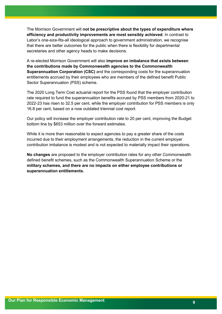The Morrison Government will **not be prescriptive about the types of expenditure where efficiency and productivity improvements are most sensibly achieved**. In contrast to Labor's one-size-fits-all ideological approach to government administration, we recognise that there are better outcomes for the public when there is flexibility for departmental secretaries and other agency heads to make decisions.

A re-elected Morrison Government will also **improve an imbalance that exists between the contributions made by Commonwealth agencies to the Commonwealth Superannuation Corporation (CSC)** and the corresponding costs for the superannuation entitlements accrued by their employees who are members of the defined benefit Public Sector Superannuation (PSS) scheme.

The 2020 Long Term Cost actuarial report for the PSS found that the employer contribution rate required to fund the superannuation benefits accrued by PSS members from 2020-21 to 2022-23 has risen to 32.5 per cent, while the employer contribution for PSS members is only 16.8 per cent, based on a now outdated triennial cost report.

Our policy will increase the employer contribution rate to 20 per cent, improving the Budget bottom line by \$653 million over the forward estimates.

While it is more than reasonable to expect agencies to pay a greater share of the costs incurred due to their employment arrangements, the reduction in the current employer contribution imbalance is modest and is not expected to materially impact their operations.

**No changes** are proposed to the employer contribution rates for any other Commonwealth defined benefit schemes, such as the Commonwealth Superannuation Scheme or the **military schemes, and there are no impacts on either employee contributions or superannuation entitlements.**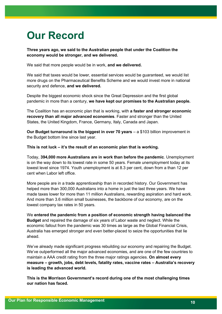# **Our Record**

**Three years ago, we said to the Australian people that under the Coalition the economy would be stronger, and we delivered.**

We said that more people would be in work, **and we delivered.**

We said that taxes would be lower, essential services would be guaranteed, we would list more drugs on the Pharmaceutical Benefits Scheme and we would invest more in national security and defence, **and we delivered.**

Despite the biggest economic shock since the Great Depression and the first global pandemic in more than a century, **we have kept our promises to the Australian people.**

The Coalition has an economic plan that is working, with **a faster and stronger economic recovery than all major advanced economies**. Faster and stronger than the United States, the United Kingdom, France, Germany, Italy, Canada and Japan.

**Our Budget turnaround is the biggest in over 70 years** – a \$103 billion improvement in the Budget bottom line since last year.

**This is not luck – it's the result of an economic plan that is working.** 

Today, **394,000 more Australians are in work than before the pandemic**. Unemployment is on the way down to its lowest rate in some 50 years. Female unemployment today at its lowest level since 1974. Youth unemployment is at 8.3 per cent, down from a than 12 per cent when Labor left office.

More people are in a trade apprenticeship than in recorded history. Our Government has helped more than 300,000 Australians into a home in just the last three years. We have made taxes lower for more than 11 million Australians, rewarding aspiration and hard work. And more than 3.6 million small businesses, the backbone of our economy, are on the lowest company tax rates in 50 years.

We **entered the pandemic from a position of economic strength having balanced the Budget** and repaired the damage of six years of Labor waste and neglect. While the economic fallout from the pandemic was 30 times as large as the Global Financial Crisis, Australia has emerged stronger and even better-placed to seize the opportunities that lie ahead.

We've already made significant progress rebuilding our economy and repairing the Budget. We've outperformed all the major advanced economies, and are one of the few countries to maintain a AAA credit rating from the three major ratings agencies. **On almost every measure – growth, jobs, debt levels, fatality rates, vaccine rates – Australia's recovery is leading the advanced world.**

**This is the Morrison Government's record during one of the most challenging times our nation has faced.**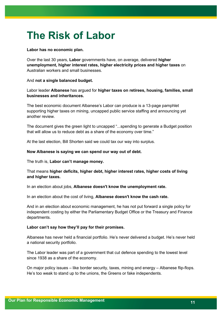# **The Risk of Labor**

#### **Labor has no economic plan.**

Over the last 30 years, **Labor** governments have, on average, delivered **higher unemployment, higher interest rates, higher electricity prices and higher taxes** on Australian workers and small businesses.

#### And **not a single balanced budget.**

Labor leader **Albanese** has argued for **higher taxes on retirees, housing, families, small businesses and inheritances.**

The best economic document Albanese's Labor can produce is a 13-page pamphlet supporting higher taxes on mining, uncapped public service staffing and announcing yet another review.

The document gives the green light to uncapped "...spending to generate a Budget position that will allow us to reduce debt as a share of the economy over time."

At the last election, Bill Shorten said we could tax our way into surplus.

#### **Now Albanese is saying we can spend our way out of debt.**

The truth is, **Labor can't manage money.**

#### That means **higher deficits, higher debt, higher interest rates, higher costs of living and higher taxes.**

In an election about jobs, **Albanese doesn't know the unemployment rate.**

In an election about the cost of living, **Albanese doesn't know the cash rate.**

And in an election about economic management, he has not put forward a single policy for independent costing by either the Parliamentary Budget Office or the Treasury and Finance departments.

#### **Labor can't say how they'll pay for their promises.**

Albanese has never held a financial portfolio. He's never delivered a budget. He's never held a national security portfolio.

The Labor leader was part of a government that cut defence spending to the lowest level since 1938 as a share of the economy.

On major policy issues – like border security, taxes, mining and energy – Albanese flip-flops. He's too weak to stand up to the unions, the Greens or fake independents.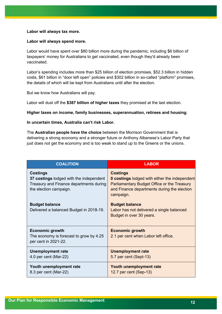#### **Labor will always tax more.**

#### **Labor will always spend more.**

Labor would have spent over \$80 billion more during the pandemic, including \$6 billion of taxpayers' money for Australians to get vaccinated, even though they'd already been vaccinated.

Labor's spending includes more than \$25 billion of election promises, \$52.3 billion in hidden costs, \$61 billion in "door left open" policies and \$302 billion in so-called "platform" promises, the details of which will be kept from Australians until after the election.

But we know how Australians will pay.

Labor will dust off the **\$387 billion of higher taxes** they promised at the last election.

#### **Higher taxes on income, family businesses, superannuation, retirees and housing**.

#### **In uncertain times, Australia can't risk Labor.**

The **Australian people have the choice** between the Morrison Government that is delivering a strong economy and a stronger future or Anthony Albanese's Labor Party that just does not get the economy and is too weak to stand up to the Greens or the unions.

| <b>COALITION</b>                                                                                                                | <b>LABOR</b>                                                                                                                                                                       |
|---------------------------------------------------------------------------------------------------------------------------------|------------------------------------------------------------------------------------------------------------------------------------------------------------------------------------|
| <b>Costings</b><br>37 costings lodged with the independent<br>Treasury and Finance departments during<br>the election campaign. | <b>Costings</b><br><b>0 costings lodged with either the independent</b><br>Parliamentary Budget Office or the Treasury<br>and Finance departments during the election<br>campaign. |
| <b>Budget balance</b><br>Delivered a balanced Budget in 2018-19.                                                                | <b>Budget balance</b><br>Labor has not delivered a single balanced<br>Budget in over 30 years.                                                                                     |
| <b>Economic growth</b><br>The economy is forecast to grow by 4.25<br>per cent in 2021-22.                                       | <b>Economic growth</b><br>2.1 per cent when Labor left office.                                                                                                                     |
| <b>Unemployment rate</b><br>4.0 per cent (Mar-22)                                                                               | <b>Unemployment rate</b><br>5.7 per cent (Sept-13)                                                                                                                                 |
| Youth unemployment rate<br>8.3 per cent (Mar-22)                                                                                | Youth unemployment rate<br>12.7 per cent (Sep-13)                                                                                                                                  |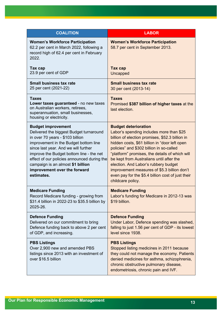| <b>COALITION</b>                                                                                                                                                                                                                                                                                                                                                        | <b>LABOR</b>                                                                                                                                                                                                                                                                                                                                                                                                                                                                           |
|-------------------------------------------------------------------------------------------------------------------------------------------------------------------------------------------------------------------------------------------------------------------------------------------------------------------------------------------------------------------------|----------------------------------------------------------------------------------------------------------------------------------------------------------------------------------------------------------------------------------------------------------------------------------------------------------------------------------------------------------------------------------------------------------------------------------------------------------------------------------------|
| <b>Women's Workforce Participation</b><br>62.2 per cent in March 2022, following a<br>record high of 62.4 per cent in February<br>2022.                                                                                                                                                                                                                                 | <b>Women's Workforce Participation</b><br>58.7 per cent in September 2013.                                                                                                                                                                                                                                                                                                                                                                                                             |
| Tax cap<br>23.9 per cent of GDP                                                                                                                                                                                                                                                                                                                                         | Tax cap<br>Uncapped                                                                                                                                                                                                                                                                                                                                                                                                                                                                    |
| Small business tax rate<br>25 per cent (2021-22)                                                                                                                                                                                                                                                                                                                        | <b>Small business tax rate</b><br>30 per cent (2013-14)                                                                                                                                                                                                                                                                                                                                                                                                                                |
| <b>Taxes</b><br>Lower taxes guaranteed - no new taxes<br>on Australian workers, retirees,<br>superannuation, small businesses,<br>housing or electricity.                                                                                                                                                                                                               | <b>Taxes</b><br>Promised \$387 billion of higher taxes at the<br>last election.                                                                                                                                                                                                                                                                                                                                                                                                        |
| <b>Budget improvement</b><br>Delivered the biggest Budget turnaround<br>in over 70 years - \$103 billion<br>improvement in the Budget bottom line<br>since last year. And we will further<br>improve the Budget bottom line - the net<br>effect of our policies announced during the<br>campaign is an almost \$1 billion<br>improvement over the forward<br>estimates. | <b>Budget deterioration</b><br>Labor's spending includes more than \$25<br>billion of election promises, \$52.3 billion in<br>hidden costs, \$61 billion in "door left open<br>policies" and \$302 billion in so-called<br>"platform" promises, the details of which will<br>be kept from Australians until after the<br>election. And Labor's rubbery budget<br>improvement measures of \$5.3 billion don't<br>even pay for the \$5.4 billion cost of just their<br>childcare policy. |
| <b>Medicare Funding</b><br>Record Medicare funding - growing from<br>\$31.4 billion in 2022-23 to \$35.5 billion by<br>2025-26.                                                                                                                                                                                                                                         | <b>Medicare Funding</b><br>Labor's funding for Medicare in 2012-13 was<br>\$19 billion.                                                                                                                                                                                                                                                                                                                                                                                                |
| <b>Defence Funding</b><br>Delivered on our commitment to bring<br>Defence funding back to above 2 per cent<br>of GDP, and increasing.                                                                                                                                                                                                                                   | <b>Defence Funding</b><br>Under Labor, Defence spending was slashed,<br>falling to just 1.56 per cent of GDP - its lowest<br>level since 1938.                                                                                                                                                                                                                                                                                                                                         |
| <b>PBS Listings</b><br>Over 2,900 new and amended PBS<br>listings since 2013 with an investment of<br>over \$16.5 billion                                                                                                                                                                                                                                               | <b>PBS Listings</b><br>Stopped listing medicines in 2011 because<br>they could not manage the economy. Patients<br>denied medicines for asthma, schizophrenia,<br>chronic obstructive pulmonary disease,<br>endometriosis, chronic pain and IVF.                                                                                                                                                                                                                                       |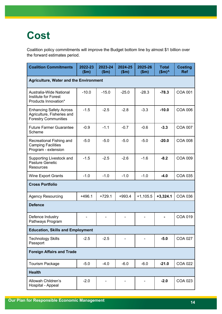# **Cost**

Coalition policy commitments will improve the Budget bottom line by almost \$1 billion over the forward estimates period.

| <b>Coalition Commitments</b>                                                                | 2022-23<br>\$m\$ | 2023-24<br>\$m\$ | 2024-25<br>\$m\$ | 2025-26<br>\$m\$ | <b>Total</b><br>$$m$ <sup>^</sup> | <b>Costing</b><br><b>Ref</b> |  |
|---------------------------------------------------------------------------------------------|------------------|------------------|------------------|------------------|-----------------------------------|------------------------------|--|
| <b>Agriculture, Water and the Environment</b>                                               |                  |                  |                  |                  |                                   |                              |  |
| Australia-Wide National<br>Institute for Forest<br>Products Innovation*                     | $-10.0$          | $-15.0$          | $-25.0$          | $-28.3$          | $-78.3$                           | <b>COA 001</b>               |  |
| <b>Enhancing Safety Across</b><br>Agriculture, Fisheries and<br><b>Forestry Communities</b> | $-1.5$           | $-2.5$           | $-2.8$           | $-3.3$           | $-10.0$                           | <b>COA 006</b>               |  |
| <b>Future Farmer Guarantee</b><br>Scheme                                                    | $-0.9$           | $-1.1$           | $-0.7$           | $-0.6$           | $-3.3$                            | <b>COA 007</b>               |  |
| Recreational Fishing and<br><b>Camping Facilities</b><br>Program - extension                | $-5.0$           | $-5.0$           | $-5.0$           | $-5.0$           | $-20.0$                           | <b>COA 008</b>               |  |
| Supporting Livestock and<br>Pasture Genetic<br>Resources                                    | $-1.5$           | $-2.5$           | $-2.6$           | $-1.6$           | $-8.2$                            | <b>COA 009</b>               |  |
| <b>Wine Export Grants</b>                                                                   | $-1.0$           | $-1.0$           | $-1.0$           | $-1.0$           | $-4.0$                            | <b>COA 035</b>               |  |
| <b>Cross Portfolio</b>                                                                      |                  |                  |                  |                  |                                   |                              |  |
| <b>Agency Resourcing</b>                                                                    | $+496.1$         | $+729.1$         | $+993.4$         | $+1,105.5$       | $+3,324.1$                        | <b>COA 036</b>               |  |
| <b>Defence</b>                                                                              |                  |                  |                  |                  |                                   |                              |  |
| Defence Industry<br>Pathways Program                                                        |                  |                  |                  |                  |                                   | <b>COA 019</b>               |  |
| <b>Education, Skills and Employment</b>                                                     |                  |                  |                  |                  |                                   |                              |  |
| <b>Technology Skills</b><br>Passport                                                        | $-2.5$           | $-2.5$           |                  |                  | $-5.0$                            | <b>COA 027</b>               |  |
| <b>Foreign Affairs and Trade</b>                                                            |                  |                  |                  |                  |                                   |                              |  |
| <b>Tourism Package</b>                                                                      | $-5.0$           | $-4.0$           | $-6.0$           | $-6.0$           | $-21.0$                           | <b>COA 022</b>               |  |
| <b>Health</b>                                                                               |                  |                  |                  |                  |                                   |                              |  |
| Allowah Children's<br>Hospital - Appeal                                                     | $-2.0$           |                  |                  |                  | $-2.0$                            | <b>COA 023</b>               |  |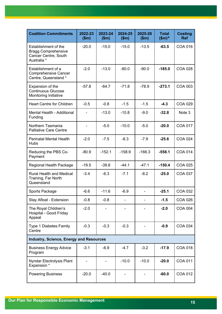| <b>Coalition Commitments</b>                                                              | 2022-23<br>\$m\$         | 2023-24<br>\$m\$ | 2024-25<br>\$m\$ | 2025-26<br>\$m\$ | <b>Total</b><br>$$m$ <sup>^</sup> | <b>Costing</b><br><b>Ref</b> |
|-------------------------------------------------------------------------------------------|--------------------------|------------------|------------------|------------------|-----------------------------------|------------------------------|
| Establishment of the<br><b>Bragg Comprehensive</b><br>Cancer Centre, South<br>Australia * | $-20.0$                  | $-15.0$          | $-15.0$          | $-13.5$          | $-63.5$                           | <b>COA 016</b>               |
| Establishment of a<br><b>Comprehensive Cancer</b><br>Centre, Queensland *                 | $-2.0$                   | $-13.0$          | $-80.0$          | $-90.0$          | $-185.0$                          | <b>COA 028</b>               |
| Expansion of the<br><b>Continuous Glucose</b><br>Monitoring Initiative                    | $-57.8$                  | $-64.7$          | $-71.8$          | $-78.9$          | $-273.1$                          | <b>COA 003</b>               |
| <b>Heart Centre for Children</b>                                                          | $-0.5$                   | $-0.8$           | $-1.5$           | $-1.5$           | $-4.3$                            | <b>COA 029</b>               |
| Mental Health - Additional<br>Funding                                                     |                          | $-13.0$          | $-10.8$          | $-9.0$           | $-32.8$                           | Note 3                       |
| Northern Tasmania<br><b>Palliative Care Centre</b>                                        | $\overline{\phantom{0}}$ | $-5.0$           | $-10.0$          | $-5.0$           | $-20.0$                           | <b>COA 017</b>               |
| <b>Perinatal Mental Health</b><br><b>Hubs</b>                                             | $-2.0$                   | $-7.5$           | $-8.3$           | $-7.9$           | $-25.6$                           | <b>COA 024</b>               |
| Reducing the PBS Co-<br>Payment                                                           | $-80.9$                  | $-152.1$         | $-158.9$         | $-166.3$         | $-558.1$                          | <b>COA 014</b>               |
| Regional Health Package                                                                   | $-19.5$                  | $-39.8$          | $-44.1$          | $-47.1$          | $-150.4$                          | <b>COA 025</b>               |
| <b>Rural Health and Medical</b><br>Training, Far North<br>Queensland                      | $-3.4$                   | $-6.3$           | $-7.1$           | $-8.2$           | $-25.0$                           | <b>COA 037</b>               |
| Sports Package                                                                            | $-6.6$                   | $-11.6$          | $-6.9$           |                  | $-25.1$                           | COA 032                      |
| Stay Afloat - Extension                                                                   | $-0.8$                   | $-0.8$           |                  |                  | $-1.5$                            | <b>COA 026</b>               |
| The Royal Children's<br>Hospital - Good Friday<br>Appeal                                  | $-2.0$                   |                  |                  |                  | $-2.0$                            | <b>COA 004</b>               |
| Type 1 Diabetes Family<br>Centre                                                          | $-0.3$                   | $-0.3$           | $-0.3$           |                  | $-0.9$                            | <b>COA 034</b>               |
| <b>Industry, Science, Energy and Resources</b>                                            |                          |                  |                  |                  |                                   |                              |
| <b>Business Energy Advice</b><br>Program                                                  | $-3.1$                   | $-6.9$           | $-4.7$           | $-3.2$           | $-17.9$                           | <b>COA 018</b>               |
| Nyrstar Electrolysis Plant<br>Expansion *                                                 |                          |                  | $-10.0$          | $-10.0$          | $-20.0$                           | <b>COA 011</b>               |
| <b>Powering Business</b>                                                                  | $-20.0$                  | $-40.0$          |                  |                  | $-60.0$                           | <b>COA 012</b>               |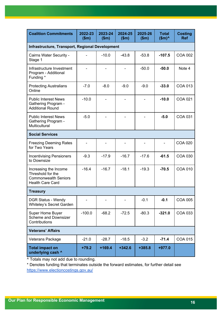| <b>Coalition Commitments</b>                                                                         | 2022-23<br>\$m\$ | 2023-24<br>\$m\$ | 2024-25<br>\$m\$ | 2025-26<br>\$m\$ | <b>Total</b><br>\$m) | <b>Costing</b><br><b>Ref</b> |
|------------------------------------------------------------------------------------------------------|------------------|------------------|------------------|------------------|----------------------|------------------------------|
| Infrastructure, Transport, Regional Development                                                      |                  |                  |                  |                  |                      |                              |
| Cairns Water Security -<br>Stage 1                                                                   |                  | $-10.0$          | $-43.8$          | $-53.8$          | $-107.5$             | <b>COA 002</b>               |
| Infrastructure Investment<br>Program - Additional<br>Funding *                                       |                  |                  |                  | $-50.0$          | $-50.0$              | Note 4                       |
| <b>Protecting Australians</b><br>Online                                                              | $-7.0$           | $-8.0$           | $-9.0$           | $-9.0$           | $-33.0$              | <b>COA 013</b>               |
| <b>Public Interest News</b><br><b>Gathering Program -</b><br><b>Additional Round</b>                 | $-10.0$          |                  |                  |                  | $-10.0$              | <b>COA 021</b>               |
| <b>Public Interest News</b><br><b>Gathering Program -</b><br>Multicultural                           | $-5.0$           |                  |                  |                  | $-5.0$               | COA 031                      |
| <b>Social Services</b>                                                                               |                  |                  |                  |                  |                      |                              |
| <b>Freezing Deeming Rates</b><br>for Two Years                                                       |                  |                  |                  |                  |                      | <b>COA 020</b>               |
| <b>Incentivising Pensioners</b><br>to Downsize                                                       | $-9.3$           | $-17.9$          | $-16.7$          | $-17.6$          | $-61.5$              | <b>COA 030</b>               |
| Increasing the Income<br>Threshold for the<br><b>Commonwealth Seniors</b><br><b>Health Care Card</b> | $-16.4$          | $-16.7$          | $-18.1$          | $-19.3$          | $-70.5$              | <b>COA 010</b>               |
| <b>Treasury</b>                                                                                      |                  |                  |                  |                  |                      |                              |
| <b>DGR Status - Wendy</b><br>Whiteley's Secret Garden                                                |                  |                  |                  | $-0.1$           | $-0.1$               | <b>COA 005</b>               |
| Super Home Buyer<br><b>Scheme and Downsizer</b><br>Contributions                                     | $-100.0$         | $-68.2$          | $-72.5$          | $-80.3$          | $-321.0$             | COA 033                      |
| <b>Veterans' Affairs</b>                                                                             |                  |                  |                  |                  |                      |                              |
| Veterans Package                                                                                     | $-21.0$          | $-28.7$          | $-18.5$          | $-3.2$           | $-71.4$              | <b>COA 015</b>               |
| <b>Total impact on</b><br>underlying cash ^                                                          | $+79.2$          | $+169.4$         | $+342.6$         | $+385.8$         | $+977.0$             |                              |

^ Totals may not add due to rounding.

\* Denotes funding that terminates outside the forward estimates, for further detail see <https://www.electioncostings.gov.au/>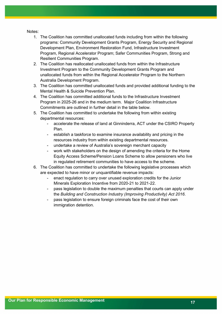Notes:

- 1. The Coalition has committed unallocated funds including from within the following programs: Community Development Grants Program, Energy Security and Regional Development Plan, Environment Restoration Fund, Infrastructure Investment Program, Regional Accelerator Program; Safer Communities Program, Strong and Resilient Communities Program.
- 2. The Coalition has reallocated unallocated funds from within the Infrastructure Investment Program to the Community Development Grants Program and unallocated funds from within the Regional Accelerator Program to the Northern Australia Development Program.
- 3. The Coalition has committed unallocated funds and provided additional funding to the Mental Health & Suicide Prevention Plan.
- 4. The Coalition has committed additional funds to the Infrastructure Investment Program in 2025-26 and in the medium term. Major Coalition Infrastructure Commitments are outlined in further detail in the table below.
- 5. The Coalition has committed to undertake the following from within existing departmental resources:
	- accelerate the release of land at Ginninderra, ACT under the CSIRO Property Plan.
	- establish a taskforce to examine insurance availability and pricing in the resources industry from within existing departmental resources.
	- undertake a review of Australia's sovereign merchant capacity
	- work with stakeholders on the design of amending the criteria for the Home Equity Access Scheme/Pension Loans Scheme to allow pensioners who live in regulated retirement communities to have access to the scheme.
- 6. The Coalition has committed to undertake the following legislative processes which are expected to have minor or unquantifiable revenue impacts:
	- enact regulation to carry over unused exploration credits for the Junior Minerals Exploration Incentive from 2020-21 to 2021-22.
	- pass legislation to double the maximum penalties that courts can apply under the *Building and Construction Industry (Improving Productivity) Act 2016*.
	- pass legislation to ensure foreign criminals face the cost of their own immigration detention.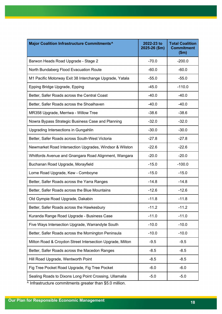| Major Coalition Infrastructure Commitments^               | 2022-23 to<br>2025-26 (\$m) | <b>Total Coalition</b><br><b>Commitment</b><br>\$m\$ |
|-----------------------------------------------------------|-----------------------------|------------------------------------------------------|
| Barwon Heads Road Upgrade - Stage 2                       | $-70.0$                     | $-200.0$                                             |
| North Bundaberg Flood Evacuation Route                    | $-60.0$                     | $-60.0$                                              |
| M1 Pacific Motorway Exit 38 Interchange Upgrade, Yatala   | $-55.0$                     | $-55.0$                                              |
| Epping Bridge Upgrade, Epping                             | $-45.0$                     | $-110.0$                                             |
| Better, Safer Roads across the Central Coast              | $-40.0$                     | $-40.0$                                              |
| Better, Safer Roads across the Shoalhaven                 | $-40.0$                     | $-40.0$                                              |
| MR358 Upgrade, Merriwa - Willow Tree                      | $-38.6$                     | $-38.6$                                              |
| Nowra Bypass Strategic Business Case and Planning         | $-32.0$                     | $-32.0$                                              |
| Upgrading Intersections in Gungahlin                      | $-30.0$                     | $-30.0$                                              |
| Better, Safer Roads across South-West Victoria            | $-27.8$                     | $-27.8$                                              |
| Newmarket Road Intersection Upgrades, Windsor & Wilston   | $-22.6$                     | $-22.6$                                              |
| Whitfords Avenue and Gnangara Road Alignment, Wangara     | $-20.0$                     | $-20.0$                                              |
| Buchanan Road Upgrade, Morayfield                         | $-15.0$                     | $-100.0$                                             |
| Lorne Road Upgrade, Kew - Comboyne                        | $-15.0$                     | $-15.0$                                              |
| Better, Safer Roads across the Yarra Ranges               | $-14.8$                     | $-14.8$                                              |
| Better, Safer Roads across the Blue Mountains             | $-12.6$                     | $-12.6$                                              |
| Old Gympie Road Upgrade, Dakabin                          | $-11.8$                     | $-11.8$                                              |
| Better, Safer Roads across the Hawkesbury                 | $-11.2$                     | $-11.2$                                              |
| Kuranda Range Road Upgrade - Business Case                | $-11.0$                     | $-11.0$                                              |
| Five Ways Intersection Upgrade, Warrandyte South          | $-10.0$                     | $-10.0$                                              |
| Better, Safer Roads across the Mornington Peninsula       | $-10.0$                     | $-10.0$                                              |
| Milton Road & Croydon Street Intersection Upgrade, Milton | $-9.5$                      | $-9.5$                                               |
| Better, Safer Roads across the Macedon Ranges             | $-8.5$                      | $-8.5$                                               |
| Hill Road Upgrade, Wentworth Point                        | $-8.5$                      | $-8.5$                                               |
| Fig Tree Pocket Road Upgrade, Fig Tree Pocket             | $-6.0$                      | $-6.0$                                               |
| Sealing Roads to Dixons Long Point Crossing, Ullamalla    | $-5.0$                      | $-5.0$                                               |

^ Infrastructure commitments greater than \$5.0 million.